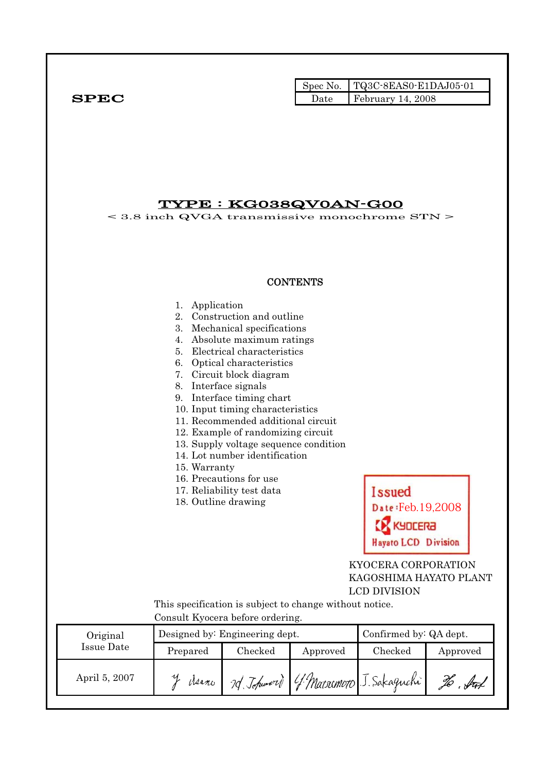|              |      | Spec No. $\vert$ TQ3C-8EAS0-E1DAJ05-01 |
|--------------|------|----------------------------------------|
| ${\bf SPEC}$ | Date | $February$ 14, 2008                    |

## TYPE : KG038QV0AN-G00

< 3.8 inch QVGA transmissive monochrome STN >

## **CONTENTS**

|                   | 1. Application<br>8. Interface signals<br>15. Warranty<br>18. Outline drawing<br>Consult Kyocera before ordering. | 2. Construction and outline<br>3. Mechanical specifications<br>4. Absolute maximum ratings<br>5. Electrical characteristics<br>6. Optical characteristics<br>7. Circuit block diagram<br>9. Interface timing chart<br>10. Input timing characteristics<br>11. Recommended additional circuit<br>12. Example of randomizing circuit<br>13. Supply voltage sequence condition<br>14. Lot number identification<br>16. Precautions for use<br>17. Reliability test data | This specification is subject to change without notice. | Issued<br>Date: Feb. 19,2008<br><b>GOCERA</b><br><b>Hayato LCD Division</b><br>KYOCERA CORPORATION<br><b>LCD DIVISION</b> | KAGOSHIMA HAYATO PLANT |
|-------------------|-------------------------------------------------------------------------------------------------------------------|----------------------------------------------------------------------------------------------------------------------------------------------------------------------------------------------------------------------------------------------------------------------------------------------------------------------------------------------------------------------------------------------------------------------------------------------------------------------|---------------------------------------------------------|---------------------------------------------------------------------------------------------------------------------------|------------------------|
| Original          |                                                                                                                   | Designed by: Engineering dept.                                                                                                                                                                                                                                                                                                                                                                                                                                       |                                                         | Confirmed by: QA dept.                                                                                                    |                        |
| <b>Issue Date</b> | Prepared                                                                                                          | Checked                                                                                                                                                                                                                                                                                                                                                                                                                                                              | Approved                                                | Checked                                                                                                                   | Approved               |
| April 5, 2007     | y deano                                                                                                           |                                                                                                                                                                                                                                                                                                                                                                                                                                                                      | 7d Johnson G. Marriemoro J. Sakaguchi                   |                                                                                                                           | to bu                  |
|                   |                                                                                                                   |                                                                                                                                                                                                                                                                                                                                                                                                                                                                      |                                                         |                                                                                                                           |                        |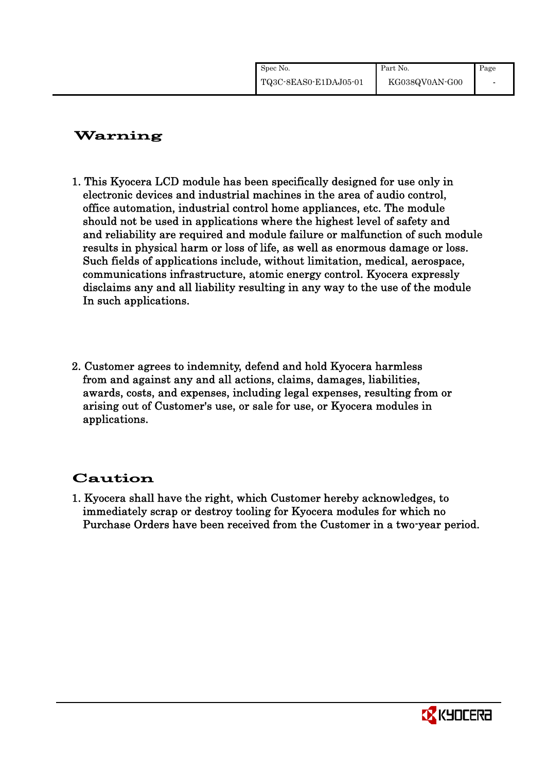| Spec No. |                       | Part No.       | Page |
|----------|-----------------------|----------------|------|
|          | TQ3C-8EAS0-E1DAJ05-01 | KG038QV0AN-G00 |      |

# Warning

- 1. This Kyocera LCD module has been specifically designed for use only in electronic devices and industrial machines in the area of audio control, office automation, industrial control home appliances, etc. The module should not be used in applications where the highest level of safety and and reliability are required and module failure or malfunction of such module results in physical harm or loss of life, as well as enormous damage or loss. Such fields of applications include, without limitation, medical, aerospace, communications infrastructure, atomic energy control. Kyocera expressly disclaims any and all liability resulting in any way to the use of the module In such applications.
- 2. Customer agrees to indemnity, defend and hold Kyocera harmless from and against any and all actions, claims, damages, liabilities, awards, costs, and expenses, including legal expenses, resulting from or arising out of Customer's use, or sale for use, or Kyocera modules in applications.

# Caution

1. Kyocera shall have the right, which Customer hereby acknowledges, to immediately scrap or destroy tooling for Kyocera modules for which no Purchase Orders have been received from the Customer in a two-year period.

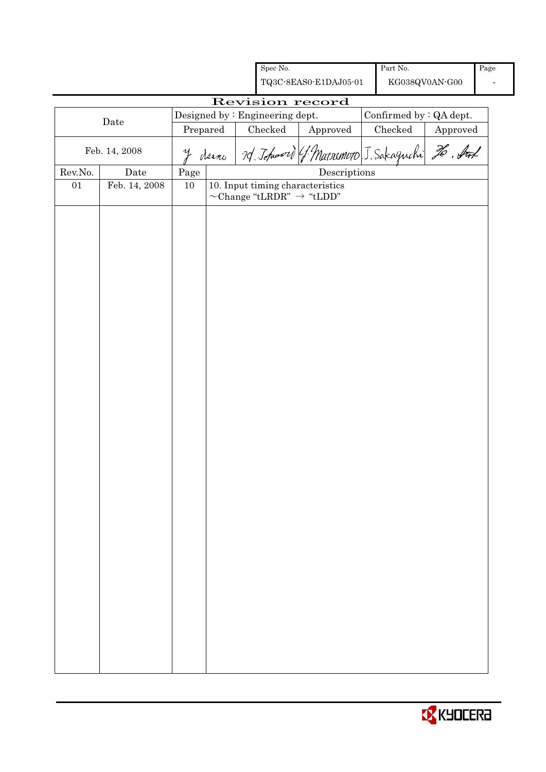|         |               |            |  | Spec No.                        |                                                                                | Part No.                 |                |      |
|---------|---------------|------------|--|---------------------------------|--------------------------------------------------------------------------------|--------------------------|----------------|------|
|         |               |            |  |                                 | TQ3C-8EAS0-E1DAJ05-01                                                          |                          | KG038QV0AN-G00 | Page |
|         |               |            |  |                                 | Revision record                                                                |                          |                |      |
|         |               |            |  | Designed by : Engineering dept. |                                                                                | Confirmed by $:QA$ dept. |                |      |
|         | Date          | Prepared   |  | Checked                         | Approved                                                                       | Checked                  | Approved       |      |
|         | Feb. 14, 2008 |            |  |                                 | y deeno 7d. Johnnord (1 Marsomoro J. Sakaguchi 26. Auf                         |                          |                |      |
| Rev.No. | Date          | $\rm Page$ |  |                                 | $\label{eq:2} \textbf{Descriptions}$                                           |                          |                |      |
| 01      | Feb. 14, 2008 | 10         |  |                                 | 10. Input timing characteristics<br>$\sim$ Change "tLRDR" $\rightarrow$ "tLDD" |                          |                |      |
|         |               |            |  |                                 |                                                                                |                          |                |      |
|         |               |            |  |                                 |                                                                                |                          |                |      |
|         |               |            |  |                                 |                                                                                |                          |                |      |
|         |               |            |  |                                 |                                                                                |                          |                |      |
|         |               |            |  |                                 |                                                                                |                          |                |      |
|         |               |            |  |                                 |                                                                                |                          |                |      |
|         |               |            |  |                                 |                                                                                |                          |                |      |
|         |               |            |  |                                 |                                                                                |                          |                |      |

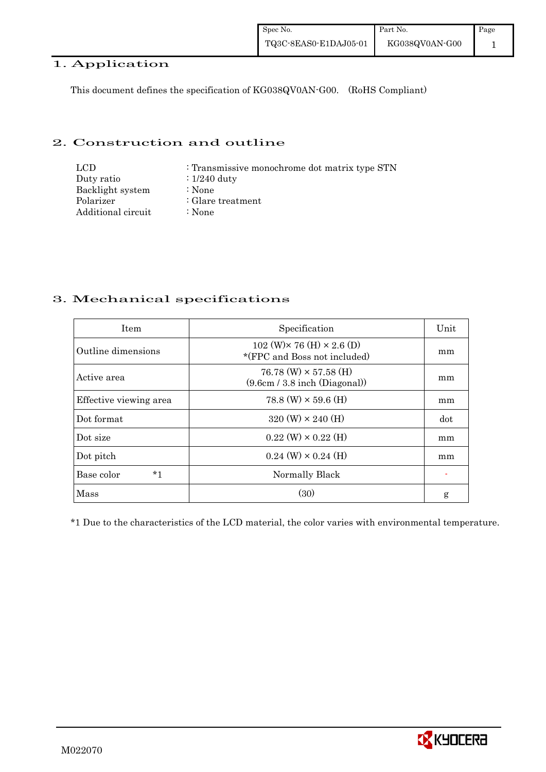## 1. Application

This document defines the specification of KG038QV0AN-G00. (RoHS Compliant)

#### 2. Construction and outline

| LCD.               | : Transmissive monochrome dot matrix type STN |
|--------------------|-----------------------------------------------|
| Duty ratio         | $\therefore$ 1/240 duty                       |
| Backlight system   | :None                                         |
| Polarizer          | $\therefore$ Glare treatment                  |
| Additional circuit | :None                                         |

## 3. Mechanical specifications

| <b>Item</b>            | Specification                                                                                  | Unit |
|------------------------|------------------------------------------------------------------------------------------------|------|
| Outline dimensions     | $102 \text{ (W)} \times 76 \text{ (H)} \times 2.6 \text{ (D)}$<br>*(FPC and Boss not included) | mm   |
| Active area            | $76.78 \ (W) \times 57.58 \ (H)$<br>(9.6cm / 3.8 inch (Diagonal))                              | mm   |
| Effective viewing area | $78.8$ (W) $\times$ 59.6 (H)                                                                   | mm   |
| Dot format             | $320 \text{ (W)} \times 240 \text{ (H)}$                                                       | dot  |
| Dot size               | $0.22 \text{ (W)} \times 0.22 \text{ (H)}$                                                     | mm   |
| Dot pitch              | $0.24$ (W) $\times$ 0.24 (H)                                                                   | mm   |
| $*1$<br>Base color     | Normally Black                                                                                 |      |
| Mass                   | (30)                                                                                           | g    |

\*1 Due to the characteristics of the LCD material, the color varies with environmental temperature.

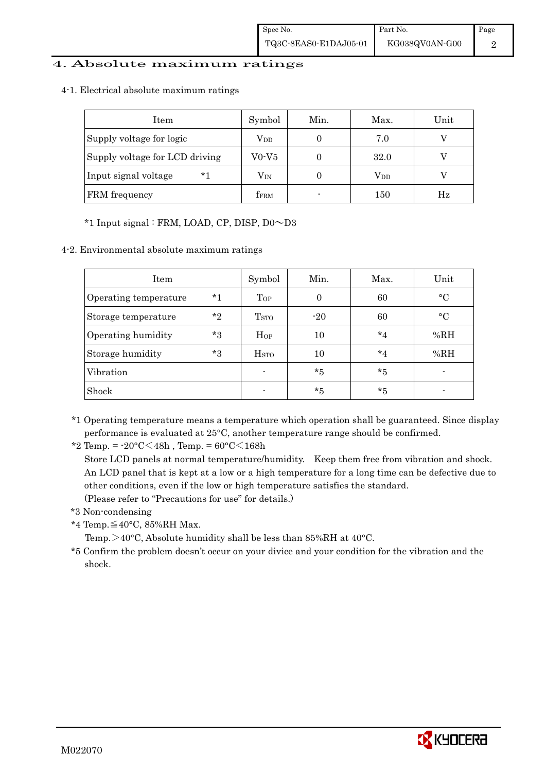#### 4. Absolute maximum ratings

4-1. Electrical absolute maximum ratings

| Item                           | Symbol                  | Min.                     | Max.         | Unit |
|--------------------------------|-------------------------|--------------------------|--------------|------|
| Supply voltage for logic       | $\rm V_{DD}$            |                          | 7.0          |      |
| Supply voltage for LCD driving | V0-V5                   |                          | 32.0         |      |
| $*1$<br>Input signal voltage   | $\rm V_{IN}$            |                          | $\rm V_{DD}$ |      |
| FRM frequency                  | <b>f</b> <sub>FRM</sub> | $\overline{\phantom{0}}$ | 150          | Hz   |

#### \*1 Input signal : FRM, LOAD, CP, DISP, D0~D3

4-2. Environmental absolute maximum ratings

| Item                  |         | Symbol                  | Min.  | Max.    | Unit      |
|-----------------------|---------|-------------------------|-------|---------|-----------|
| Operating temperature | $*1$    | Top                     | 0     | 60      | $\circ$ C |
| Storage temperature   | $*_{2}$ | <b>T</b> <sub>STO</sub> | $-20$ | 60      | $\circ$ C |
| Operating humidity    | $*3$    | $H_{OP}$                | 10    | $*_{4}$ | %RH       |
| Storage humidity      | $*3$    | <b>H</b> <sub>sto</sub> | 10    | $*_{4}$ | %RH       |
| Vibration             |         | $\blacksquare$          | $*5$  | $*5$    |           |
| Shock                 |         | $\blacksquare$          | $*5$  | *5      |           |

\*1 Operating temperature means a temperature which operation shall be guaranteed. Since display performance is evaluated at 25°C, another temperature range should be confirmed.

\*2 Temp. =  $-20^{\circ}$ C $<$ 48h, Temp. =  $60^{\circ}$ C $<$ 168h

 Store LCD panels at normal temperature/humidity. Keep them free from vibration and shock. An LCD panel that is kept at a low or a high temperature for a long time can be defective due to other conditions, even if the low or high temperature satisfies the standard.

(Please refer to "Precautions for use" for details.)

- \*3 Non-condensing
- \*4 Temp.≦40°C, 85%RH Max.

Temp.>40°C, Absolute humidity shall be less than 85%RH at 40°C.

\*5 Confirm the problem doesn't occur on your divice and your condition for the vibration and the shock.

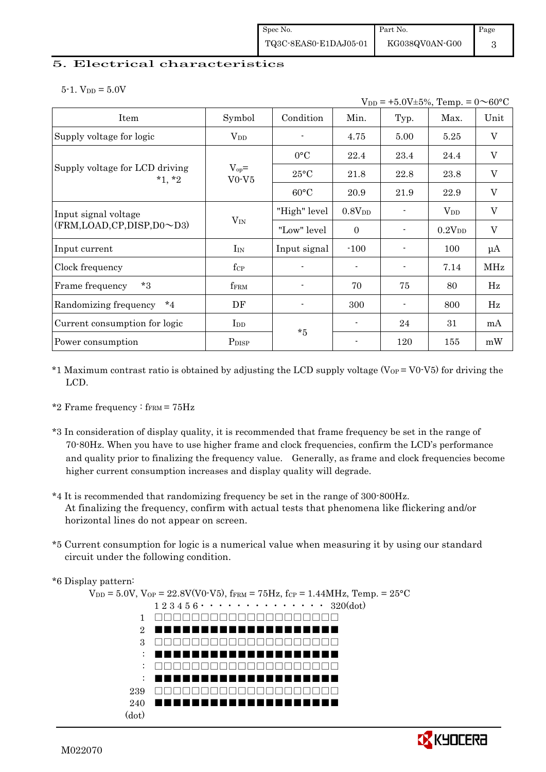#### 5. Electrical characteristics

 $5-1.$  V<sub>DD</sub> =  $5.0V$ 

| $V_{DD}$ = +5.0V±5%, Temp. = 0 $\sim$ 60°C |                       |                |                    |      |                    |                           |
|--------------------------------------------|-----------------------|----------------|--------------------|------|--------------------|---------------------------|
| Item                                       | Symbol                | Condition      | Min.               | Typ. | Max.               | Unit                      |
| Supply voltage for logic                   | $\rm V_{DD}$          |                | 4.75               | 5.00 | 5.25               | $\boldsymbol{\mathrm{V}}$ |
|                                            |                       | $0^{\circ}$ C  | 22.4               | 23.4 | 24.4               | $\rm V$                   |
| Supply voltage for LCD driving<br>$*1, *2$ | $V_{op} =$<br>$V0-V5$ | $25^{\circ}$ C | 21.8               | 22.8 | 23.8               | $\rm V$                   |
|                                            |                       | $60^{\circ}$ C | 20.9               | 21.9 | 22.9               | $\boldsymbol{\mathrm{V}}$ |
| Input signal voltage                       |                       | "High" level   | 0.8V <sub>DD</sub> |      | $\rm V_{DD}$       | $\ensuremath{\mathbf{V}}$ |
| $(FRM, LOAD, CP, DISP, D0 \sim D3)$        | $V_{IN}$              | "Low" level    | $\Omega$           |      | 0.2V <sub>DD</sub> | $\boldsymbol{\mathrm{V}}$ |
| Input current                              | $I_{IN}$              | Input signal   | $-100$             |      | 100                | $\mu$ A                   |
| Clock frequency                            | $f_{\rm CP}$          |                |                    |      | 7.14               | MHz                       |
| $*3$<br>Frame frequency                    | $f_{\rm FRM}$         |                | 70                 | 75   | 80                 | Hz                        |
| $*_{4}$<br>Randomizing frequency           | DF                    |                | 300                |      | 800                | Hz                        |
| Current consumption for logic              | I <sub>DD</sub>       | $*5$           |                    | 24   | 31                 | mA                        |
| Power consumption                          | P <sub>DISP</sub>     |                |                    | 120  | 155                | mW                        |

- \*1 Maximum contrast ratio is obtained by adjusting the LCD supply voltage ( $V_{OP} = V_0 V_0$ ) for driving the LCD.
- \*2 Frame frequency :  $f_{\text{FRM}}$  =  $75\text{Hz}$
- \*3 In consideration of display quality, it is recommended that frame frequency be set in the range of 70-80Hz. When you have to use higher frame and clock frequencies, confirm the LCD's performance and quality prior to finalizing the frequency value. Generally, as frame and clock frequencies become higher current consumption increases and display quality will degrade.
- \*4 It is recommended that randomizing frequency be set in the range of 300-800Hz. At finalizing the frequency, confirm with actual tests that phenomena like flickering and/or horizontal lines do not appear on screen.
- \*5 Current consumption for logic is a numerical value when measuring it by using our standard circuit under the following condition.

\*6 Display pattern:

 $V_{\text{DD}} = 5.0 \text{V}, V_{\text{OP}} = 22.8 \text{V} (\text{V0-V5}), f_{\text{FRM}} = 75 \text{Hz}, f_{\text{CP}} = 1.44 \text{MHz}, \text{Temp.} = 25 \text{°C}$  1 2 3 4 5 6・・・・・・・・・・・・・・ 320(dot) 1 2 3 : : : 239 □□□□□□□□□□□□□□□□□□□□□□ 240 (dot) □□□□□□□□□□□□□□□□□□□□ ■■■■■■■■■■■■■■■■■■■■ □□□□□□□□□□□□□□□□□□□□ ■■■■■■■■■■■■■■■■■■■■ □□□□□□□□□□□□□□□□□□□□ ■■■■■■■■■■■■■■■■■■■■ ■■■■■■■■■■■■■■■■■■■■

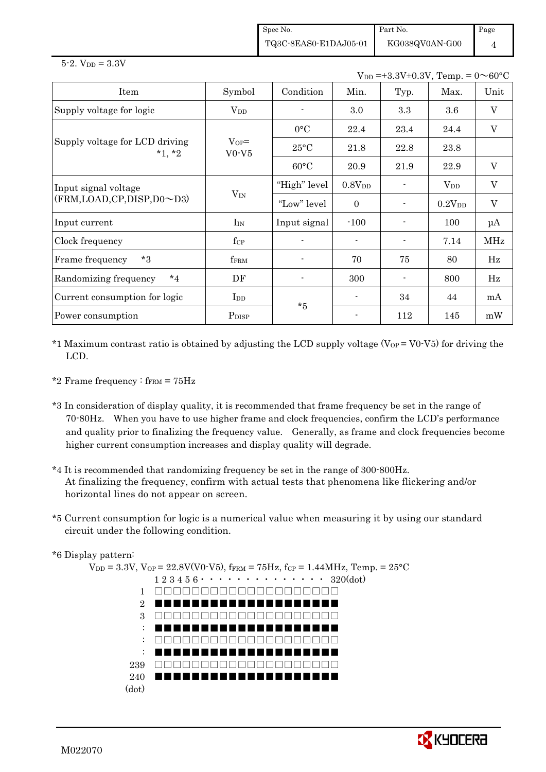Spec No. TQ3C-8EAS0-E1DAJ05-01 Part No.

KG038QV0AN-G00

Page 4

|  | $5-2.$ V <sub>DD</sub> = $3.3V$ |  |
|--|---------------------------------|--|
|--|---------------------------------|--|

 $V_{DD}$  =+3.3V±0.3V,  $T_{\text{om}} = 0 \approx 60$ °C

| $V_{\text{DD}} = 0.3 V_{\text{+}}0.3 V_{\text{+}}$ . Temp. $= 0.70 V_{\text{+}}$ |                       |                |                    |      |                    |                           |  |
|----------------------------------------------------------------------------------|-----------------------|----------------|--------------------|------|--------------------|---------------------------|--|
| Item                                                                             | Symbol                | Condition      | Min.               | Typ. | Max.               | Unit                      |  |
| Supply voltage for logic                                                         | $\rm V_{DD}$          |                | 3.0                | 3.3  | 3.6                | $\mathbf{V}$              |  |
|                                                                                  |                       | $0^{\circ}C$   | 22.4               | 23.4 | 24.4               | $\boldsymbol{\mathrm{V}}$ |  |
| Supply voltage for LCD driving<br>$*1, *2$                                       | $V_{OP} =$<br>$V0-V5$ | $25^{\circ}$ C | 21.8               | 22.8 | 23.8               |                           |  |
|                                                                                  |                       | $60^{\circ}$ C | 20.9               | 21.9 | 22.9               | $\mathbf{V}$              |  |
| Input signal voltage                                                             |                       | "High" level   | 0.8V <sub>DD</sub> |      | $V_{DD}$           | V                         |  |
| $(FRM, LOAD, CP, DISP, D0 \sim D3)$                                              | $V_{IN}$              | "Low" level    | $\Omega$           |      | 0.2V <sub>DD</sub> | $\mathbf V$               |  |
| Input current                                                                    | $\rm{I}_{\rm{IN}}$    | Input signal   | $-100$             |      | 100                | μA                        |  |
| Clock frequency                                                                  | $f_{\rm CP}$          |                |                    |      | 7.14               | MHz                       |  |
| $*3$<br>Frame frequency                                                          | $f_{\rm FRM}$         |                | 70                 | 75   | 80                 | Hz                        |  |
| Randomizing frequency<br>$*_{4}$                                                 | DF                    |                | 300                |      | 800                | $_{\rm Hz}$               |  |
| Current consumption for logic                                                    | $\operatorname{Ind}$  | $*5$           |                    | 34   | 44                 | mA                        |  |
| Power consumption                                                                | P <sub>DISP</sub>     |                |                    | 112  | 145                | mW                        |  |

- \*1 Maximum contrast ratio is obtained by adjusting the LCD supply voltage ( $V_{OP} = V_0 V_0$ ) for driving the LCD.
- \*2 Frame frequency :  $f_{\text{FRM}} = 75 \text{Hz}$
- \*3 In consideration of display quality, it is recommended that frame frequency be set in the range of 70-80Hz. When you have to use higher frame and clock frequencies, confirm the LCD's performance and quality prior to finalizing the frequency value. Generally, as frame and clock frequencies become higher current consumption increases and display quality will degrade.
- \*4 It is recommended that randomizing frequency be set in the range of 300-800Hz. At finalizing the frequency, confirm with actual tests that phenomena like flickering and/or horizontal lines do not appear on screen.
- \*5 Current consumption for logic is a numerical value when measuring it by using our standard circuit under the following condition.
- \*6 Display pattern:

 $V_{DD} = 3.3V$ ,  $V_{OP} = 22.8V(V0-V5)$ ,  $f_{FRM} = 75Hz$ ,  $f_{CP} = 1.44MHz$ ,  $Temp. = 25°C$  $1\ 2\ 3\ 4\ 5\ 6\ \cdot\ \cdot\ \cdot\ \cdot\ \cdot\ \cdot\ \cdot\ \cdot\ \cdot\ \cdot\ \cdot\ 320(dot)$ 1 □□□□□□□□□□□□□□□□□□□□ 2 3 : : : 239 □□□□□□□□□□□□□□□□□□□□□□ 240 (dot) ■■■■■■■■■■■■■■■■■■■■ □□□□□□□□□□□□□□□□□□□□ ■■■■■■■■■■■■■■■■■■■■ □□□□□□□□□□□□□□□□□□□□ ■■■■■■■■■■■■■■■■■■■■ ■■■■■■■■■■■■■■■■■■■■

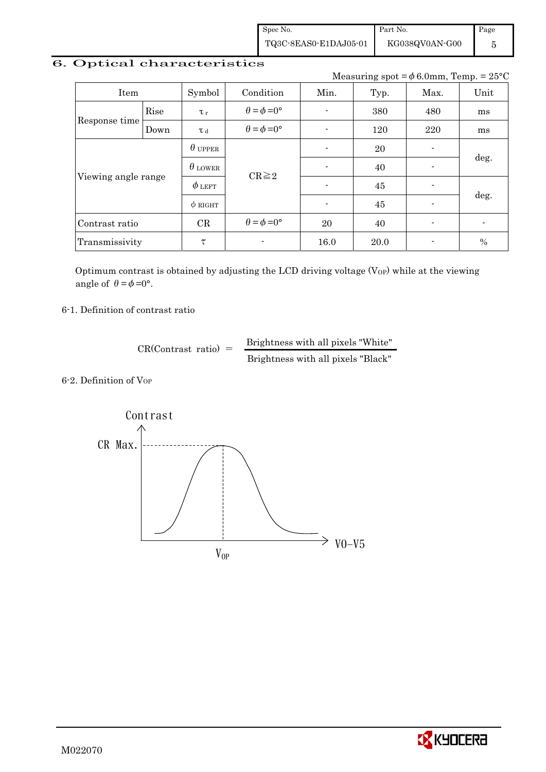Spec No. TQ3C-8EAS0-E1DAJ05-01 Part No. KG038QV0AN-G00

Page 5

# 6. Optical characteristics

Measuring spot =  $\phi$  6.0mm, Temp. = 25°C

| Item                |      | Symbol         | Condition                   | Min.<br>Typ. |      | Max.                     | Unit           |  |
|---------------------|------|----------------|-----------------------------|--------------|------|--------------------------|----------------|--|
|                     | Rise | $\tau_r$       | $\theta = \phi = 0^{\circ}$ |              | 380  | 480                      | ms             |  |
| Response time       | Down | T d            | $\theta = \phi = 0^{\circ}$ |              | 120  | 220                      | ms             |  |
|                     |      | $\theta$ upper |                             |              | 20   | ۰                        |                |  |
|                     |      | $\theta$ lower | $CR \geq 2$                 |              | 40   | $\blacksquare$           | deg.           |  |
| Viewing angle range |      | $\phi$ left    |                             |              | 45   |                          |                |  |
|                     |      | $\phi$ RIGHT   |                             |              | 45   | $\overline{\phantom{a}}$ | deg.           |  |
| Contrast ratio      |      | CR             | $\theta = \phi = 0^{\circ}$ | 20           | 40   | $\blacksquare$           | $\blacksquare$ |  |
| Transmissivity      |      | τ              | $\blacksquare$              | 16.0         | 20.0 | $\blacksquare$           | $\%$           |  |

Optimum contrast is obtained by adjusting the LCD driving voltage  $(V_{OP})$  while at the viewing angle of  $\theta = \phi = 0^{\circ}$ .

6-1. Definition of contrast ratio

 $CR(Contrast ratio) =$  Brightness with all pixels "White" Brightness with all pixels "Black"

6-2. Definition of VOP



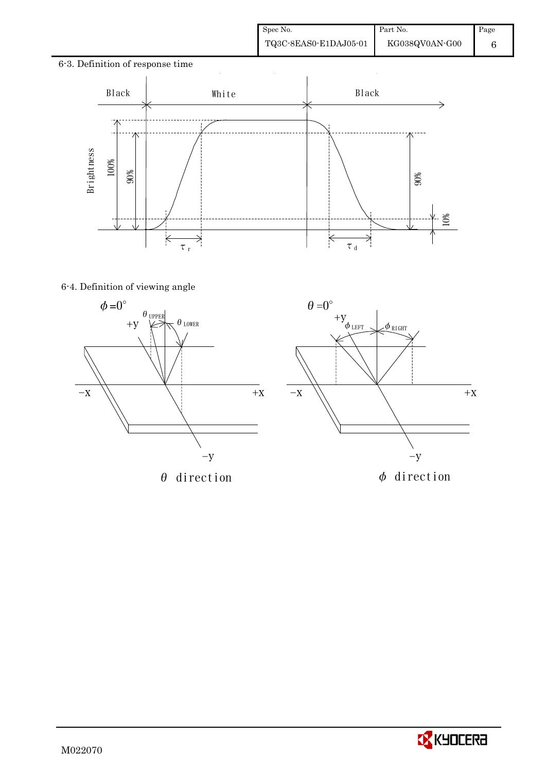6







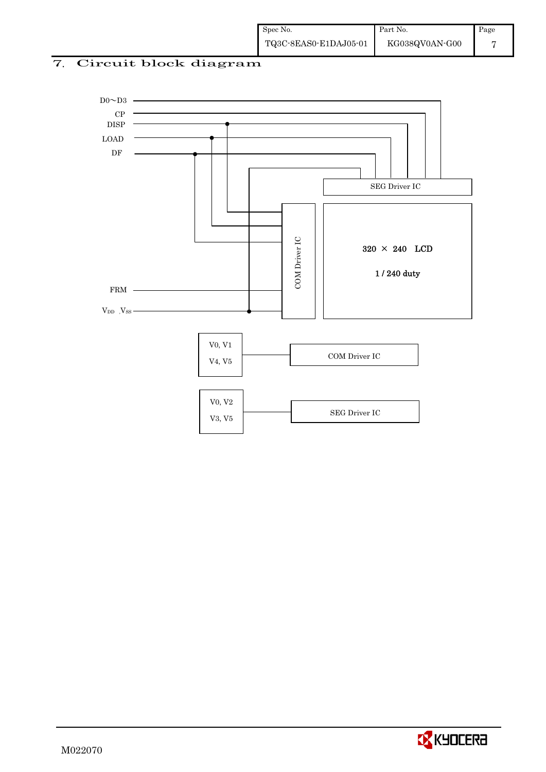# 7. Circuit block diagram



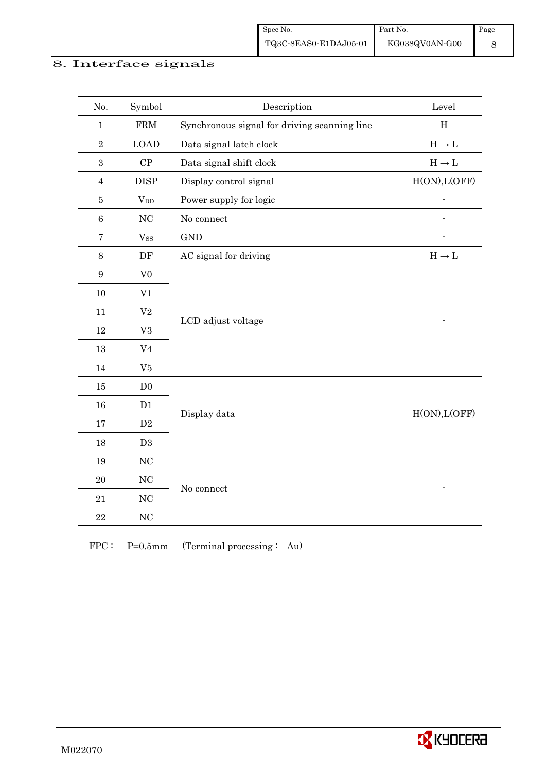#### 8. Interface signals

| No.              | Symbol         | $\label{eq:2} \textbf{Description}$          | Level                             |
|------------------|----------------|----------------------------------------------|-----------------------------------|
| $\mathbf{1}$     | ${\rm FRM}$    | Synchronous signal for driving scanning line | H                                 |
| $\overline{2}$   | <b>LOAD</b>    | Data signal latch clock                      | $H\to L$                          |
| $\boldsymbol{3}$ | ${\cal CP}$    | Data signal shift clock                      | $H\to L$                          |
| $\overline{4}$   | <b>DISP</b>    | Display control signal                       | H(ON), L(OFF)                     |
| $\bf 5$          | $V_{DD}$       | Power supply for logic                       |                                   |
| $\,6\,$          | NC             | No connect                                   |                                   |
| $\bf 7$          | $V_{SS}$       | <b>GND</b>                                   |                                   |
| $8\,$            | $\rm DF$       | AC signal for driving                        | $\mathrm{H}\rightarrow\mathrm{L}$ |
| $\boldsymbol{9}$ | V <sub>0</sub> |                                              |                                   |
| 10               | V1             |                                              |                                   |
| 11               | $\rm V2$       | LCD adjust voltage                           |                                   |
| 12               | V3             |                                              |                                   |
| 13               | V <sub>4</sub> |                                              |                                   |
| 14               | V5             |                                              |                                   |
| 15               | D <sub>0</sub> |                                              |                                   |
| 16               | D1             | Display data                                 | H(ON), L(OFF)                     |
| 17               | $\mathbf{D}2$  |                                              |                                   |
| 18               | D3             |                                              |                                   |
| 19               | $\rm NC$       |                                              |                                   |
| $20\,$           | $\rm NC$       | No connect                                   |                                   |
| 21               | $\rm NC$       |                                              |                                   |
| $\bf 22$         | $\rm NC$       |                                              |                                   |

FPC : P=0.5mm (Terminal processing : Au)

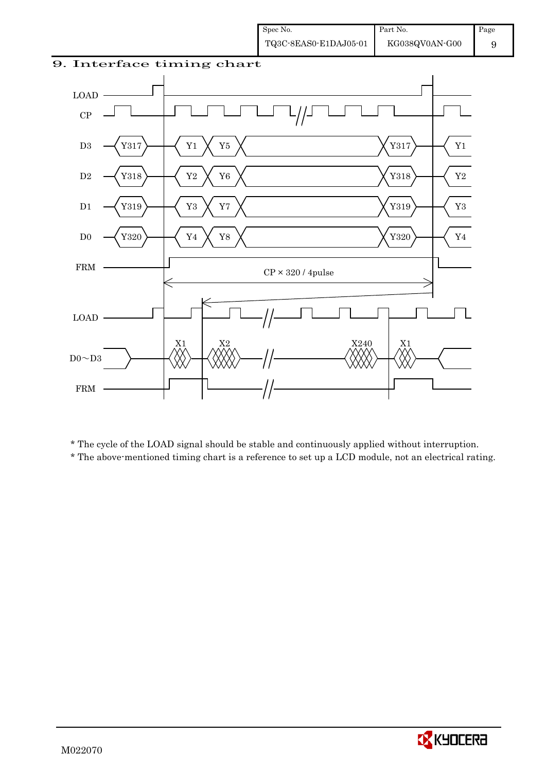



\* The cycle of the LOAD signal should be stable and continuously applied without interruption.

\* The above-mentioned timing chart is a reference to set up a LCD module, not an electrical rating.

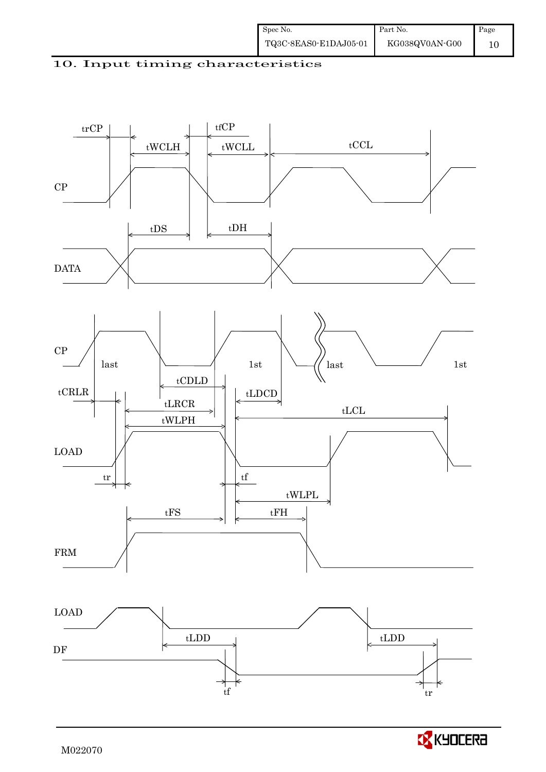



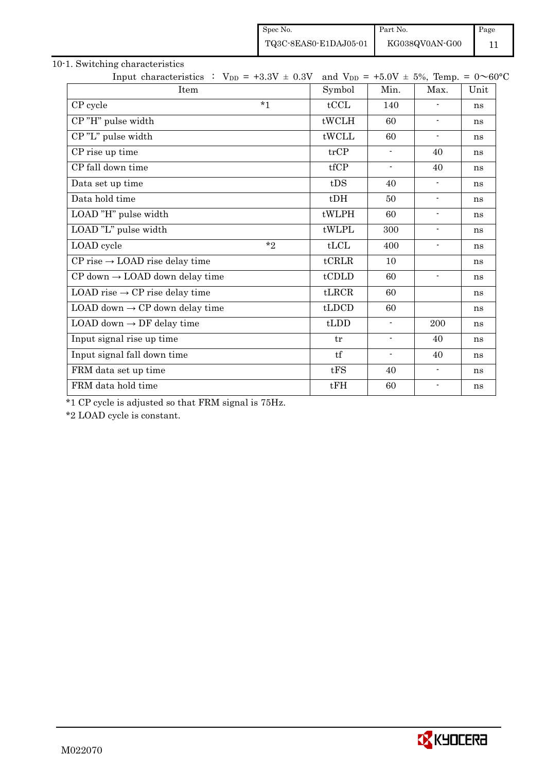|                                                   | Spec No. |                                               | Part No.                 |                          | Page |  |
|---------------------------------------------------|----------|-----------------------------------------------|--------------------------|--------------------------|------|--|
|                                                   |          | TQ3C-8EAS0-E1DAJ05-01                         | KG038QV0AN-G00           |                          | 11   |  |
| 10-1. Switching characteristics                   |          |                                               |                          |                          |      |  |
| Input characteristics : $V_{DD} = +3.3V \pm 0.3V$ |          | and $V_{DD} = +5.0V \pm 5\%$ , Temp. = 0~60°C |                          |                          |      |  |
| Item                                              |          | Symbol                                        | Min.                     | Max.                     | Unit |  |
| CP cycle                                          | $*1$     | tCCL                                          | 140                      |                          | ns   |  |
| CP"H" pulse width                                 |          | tWCLH                                         | 60                       | $\overline{\phantom{a}}$ | ns   |  |
| CP"L" pulse width                                 |          | tWCLL                                         | 60                       | $\blacksquare$           | ns   |  |
| CP rise up time                                   |          | trCP                                          | $\overline{\phantom{a}}$ | 40                       | ns   |  |
| CP fall down time                                 |          | tfCP                                          | $\blacksquare$           | 40                       | ns   |  |
| Data set up time                                  |          | tDS                                           | 40                       |                          | ns   |  |
| Data hold time                                    |          | $t$ DH                                        | 50                       | $\overline{\phantom{a}}$ | ns   |  |
| LOAD "H" pulse width                              |          | tWLPH                                         | 60                       |                          | ns   |  |
| LOAD "L" pulse width                              |          | tWLPL                                         | 300                      | $\overline{\phantom{a}}$ | ns   |  |
| LOAD cycle                                        | $*_{2}$  | tLCL                                          | 400                      | $\overline{\phantom{a}}$ | ns   |  |
| $CP$ rise $\rightarrow$ LOAD rise delay time      |          | $t$ CRLR                                      | 10                       |                          | ns   |  |
| $CP$ down $\rightarrow$ LOAD down delay time      |          | tCDLD                                         | 60                       | $\overline{\phantom{a}}$ | ns   |  |
| LOAD rise $\rightarrow$ CP rise delay time        |          | tLRCR                                         | 60                       |                          | ns   |  |
| LOAD down $\rightarrow$ CP down delay time        |          | tLDCD                                         | 60                       |                          | ns   |  |
| LOAD down $\rightarrow$ DF delay time             |          | tLDD                                          |                          | 200                      | ns   |  |
| Input signal rise up time                         |          | tr                                            | $\overline{\phantom{a}}$ | 40                       | ns   |  |
| Input signal fall down time                       |          | tf                                            | $\overline{\phantom{a}}$ | 40                       | ns   |  |
| FRM data set up time                              |          | tFS                                           | 40                       | $\overline{\phantom{a}}$ | ns   |  |
| FRM data hold time                                |          | tFH                                           | 60                       | $\blacksquare$           | ns   |  |

\*1 CP cycle is adjusted so that FRM signal is 75Hz.

\*2 LOAD cycle is constant.

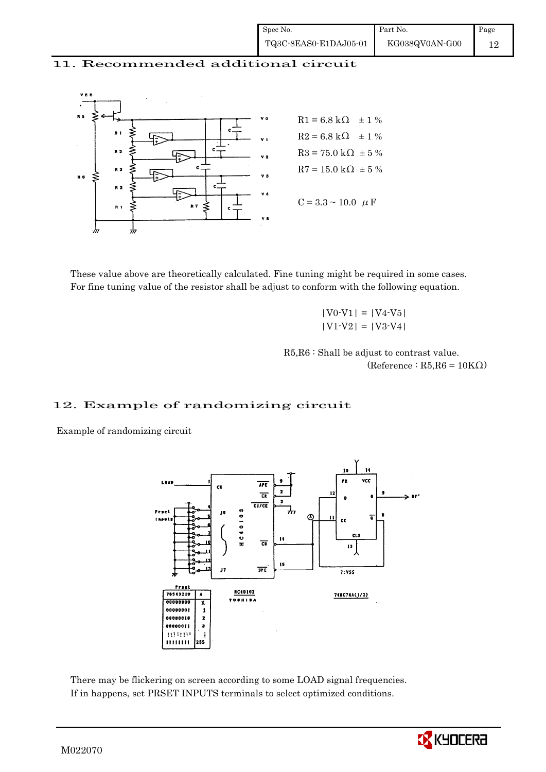#### 11. Recommended additional circuit



 These value above are theoretically calculated. Fine tuning might be required in some cases. For fine tuning value of the resistor shall be adjust to conform with the following equation.

> $|V0-V1| = |V4-V5|$  $|V1-V2| = |V3-V4|$

 R5,R6 : Shall be adjust to contrast value.  $(Reference: R5, R6 = 10K<sub>\Omega</sub>)$ 

#### 12. Example of randomizing circuit

Example of randomizing circuit



 There may be flickering on screen according to some LOAD signal frequencies. If in happens, set PRSET INPUTS terminals to select optimized conditions.

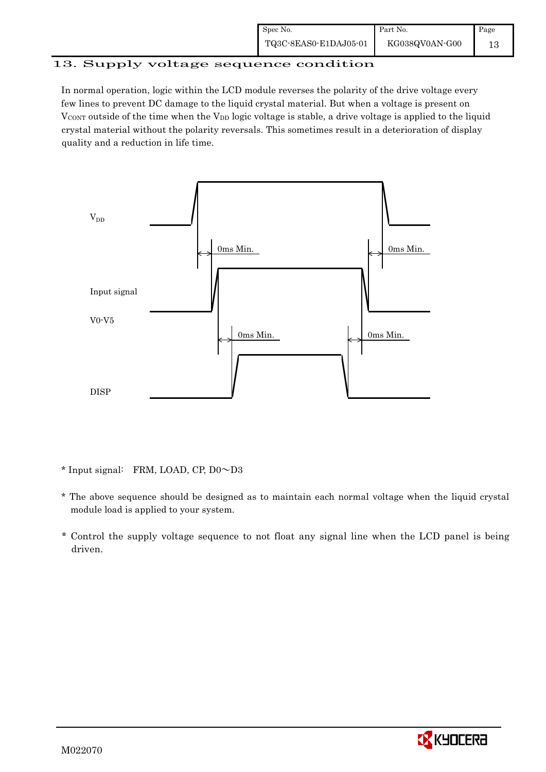| Spec No.              | Part No.       | Page |
|-----------------------|----------------|------|
| TQ3C-8EAS0-E1DAJ05-01 | KG038QV0AN-G00 |      |

#### 13. Supply voltage sequence condition

In normal operation, logic within the LCD module reverses the polarity of the drive voltage every few lines to prevent DC damage to the liquid crystal material. But when a voltage is present on  $V_{\text{CONT}}$  outside of the time when the  $V_{\text{DD}}$  logic voltage is stable, a drive voltage is applied to the liquid crystal material without the polarity reversals. This sometimes result in a deterioration of display quality and a reduction in life time.



 $*$  Input signal: FRM, LOAD, CP, D0 $\sim$ D3

- \* The above sequence should be designed as to maintain each normal voltage when the liquid crystal module load is applied to your system.
- \* Control the supply voltage sequence to not float any signal line when the LCD panel is being driven.

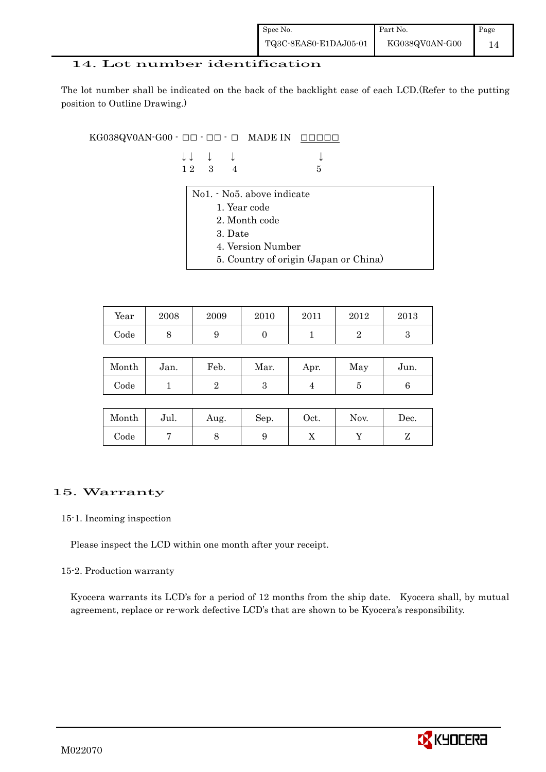| Spec No.              | Part No.       | Page |
|-----------------------|----------------|------|
| TQ3C-8EAS0-E1DAJ05-01 | KG038QV0AN-G00 |      |

#### 14. Lot number identification

The lot number shall be indicated on the back of the backlight case of each LCD.(Refer to the putting position to Outline Drawing.)

 $KG038QVOAN-G00 -  $\Box\Box$  -  $\Box$  -  $\Box$  MADE IN$ 

| $\downarrow \downarrow \quad \downarrow \quad \downarrow$ |  | $\downarrow$ |
|-----------------------------------------------------------|--|--------------|
| 12 3 4                                                    |  | - 5          |

| No1. • No5. above indicate            |
|---------------------------------------|
| 1. Year code                          |
| 2. Month code                         |
| 3. Date                               |
| 4. Version Number                     |
| 5. Country of origin (Japan or China) |
|                                       |

| Year       | 2008 | 2009 | 2010 | 2011 | 2012 | 2013 |
|------------|------|------|------|------|------|------|
| $\rm Code$ | ັ    |      |      |      |      |      |

| Month      | Jan. | Feb. | Mar. | Apr. | May | Jun. |
|------------|------|------|------|------|-----|------|
| $\rm Code$ |      |      |      |      |     |      |

| Month      | Jul. | Aug. | Sep. | $\rm Oct.$ | Nov. | Dec.     |
|------------|------|------|------|------------|------|----------|
| $\rm Code$ |      |      | ಀ    | 77         |      | <u>.</u> |

## 15. Warranty

#### 15-1. Incoming inspection

Please inspect the LCD within one month after your receipt.

#### 15-2. Production warranty

 Kyocera warrants its LCD's for a period of 12 months from the ship date. Kyocera shall, by mutual agreement, replace or re-work defective LCD's that are shown to be Kyocera's responsibility.

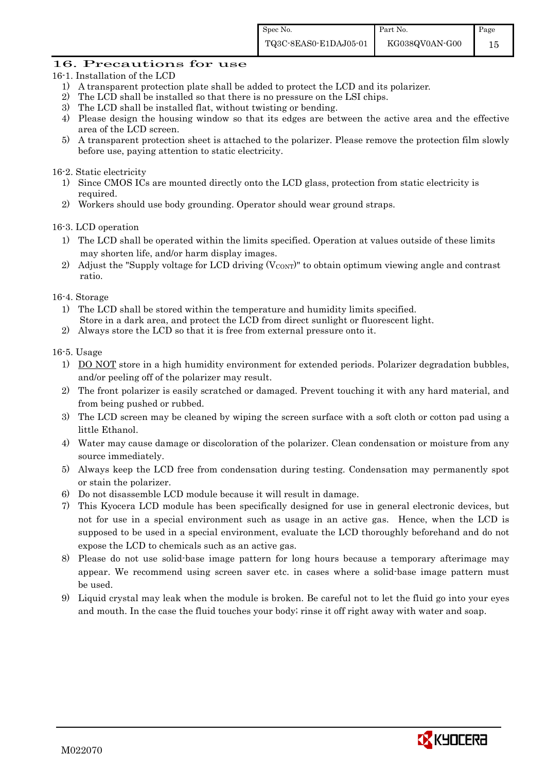#### 16. Precautions for use

- 16-1. Installation of the LCD
	- 1) A transparent protection plate shall be added to protect the LCD and its polarizer.
	- 2) The LCD shall be installed so that there is no pressure on the LSI chips.
	- 3) The LCD shall be installed flat, without twisting or bending.
	- 4) Please design the housing window so that its edges are between the active area and the effective area of the LCD screen.
	- 5) A transparent protection sheet is attached to the polarizer. Please remove the protection film slowly before use, paying attention to static electricity.

16-2. Static electricity

- 1) Since CMOS ICs are mounted directly onto the LCD glass, protection from static electricity is required.
- 2) Workers should use body grounding. Operator should wear ground straps.

16-3. LCD operation

- 1) The LCD shall be operated within the limits specified. Operation at values outside of these limits may shorten life, and/or harm display images.
- 2) Adjust the "Supply voltage for LCD driving  $(V_{\text{CONT}})$ " to obtain optimum viewing angle and contrast ratio.

16-4. Storage

- 1) The LCD shall be stored within the temperature and humidity limits specified. Store in a dark area, and protect the LCD from direct sunlight or fluorescent light.
- 2) Always store the LCD so that it is free from external pressure onto it.

16-5. Usage

- 1) DO NOT store in a high humidity environment for extended periods. Polarizer degradation bubbles, and/or peeling off of the polarizer may result.
- 2) The front polarizer is easily scratched or damaged. Prevent touching it with any hard material, and from being pushed or rubbed.
- 3) The LCD screen may be cleaned by wiping the screen surface with a soft cloth or cotton pad using a little Ethanol.
- 4) Water may cause damage or discoloration of the polarizer. Clean condensation or moisture from any source immediately.
- 5) Always keep the LCD free from condensation during testing. Condensation may permanently spot or stain the polarizer.
- 6) Do not disassemble LCD module because it will result in damage.
- 7) This Kyocera LCD module has been specifically designed for use in general electronic devices, but not for use in a special environment such as usage in an active gas. Hence, when the LCD is supposed to be used in a special environment, evaluate the LCD thoroughly beforehand and do not expose the LCD to chemicals such as an active gas.
- 8) Please do not use solid-base image pattern for long hours because a temporary afterimage may appear. We recommend using screen saver etc. in cases where a solid-base image pattern must be used.
- 9) Liquid crystal may leak when the module is broken. Be careful not to let the fluid go into your eyes and mouth. In the case the fluid touches your body; rinse it off right away with water and soap.

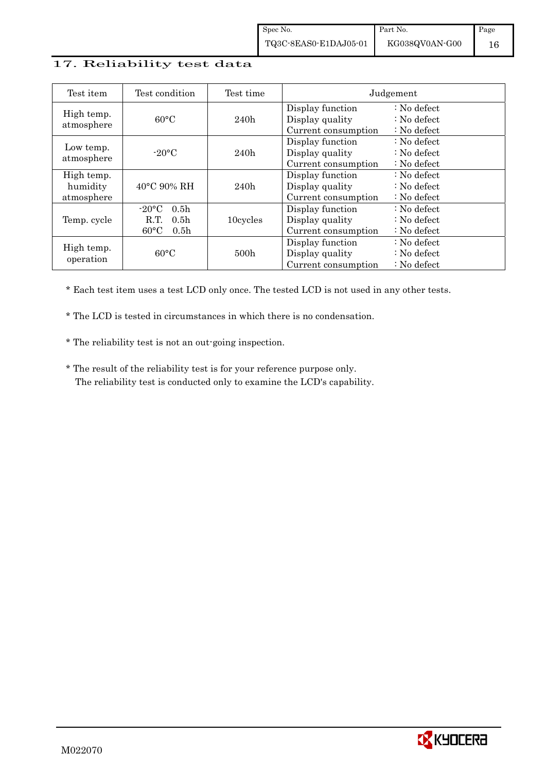#### 17. Reliability test data

| Test item                            | Test condition                                                                                       | Test time        |                                                            | Judgement                                                                  |
|--------------------------------------|------------------------------------------------------------------------------------------------------|------------------|------------------------------------------------------------|----------------------------------------------------------------------------|
| High temp.<br>atmosphere             | $60^{\circ}$ C                                                                                       | 240h             | Display function<br>Display quality<br>Current consumption | : No defect<br>$\therefore$ No defect<br>$\therefore$ No defect            |
| Low temp.<br>atmosphere              | $-20$ °C                                                                                             | 240h             | Display function<br>Display quality<br>Current consumption | $\therefore$ No defect<br>$\therefore$ No defect<br>$\therefore$ No defect |
| High temp.<br>humidity<br>atmosphere | $40^{\circ}$ C 90% RH                                                                                | 240h             | Display function<br>Display quality<br>Current consumption | $\therefore$ No defect<br>$\therefore$ No defect<br>$\therefore$ No defect |
| Temp. cycle                          | $-20\degree C$<br>0.5 <sub>h</sub><br>0.5 <sub>h</sub><br>R.T.<br>$60^{\circ}$ C<br>0.5 <sub>h</sub> | 10cycles         | Display function<br>Display quality<br>Current consumption | $\therefore$ No defect<br>$\therefore$ No defect<br>$\therefore$ No defect |
| High temp.<br>operation              | $60^{\circ}$ C                                                                                       | 500 <sub>h</sub> | Display function<br>Display quality<br>Current consumption | : No defect<br>$\therefore$ No defect<br>$\therefore$ No defect            |

\* Each test item uses a test LCD only once. The tested LCD is not used in any other tests.

\* The LCD is tested in circumstances in which there is no condensation.

\* The reliability test is not an out-going inspection.

 \* The result of the reliability test is for your reference purpose only. The reliability test is conducted only to examine the LCD's capability.

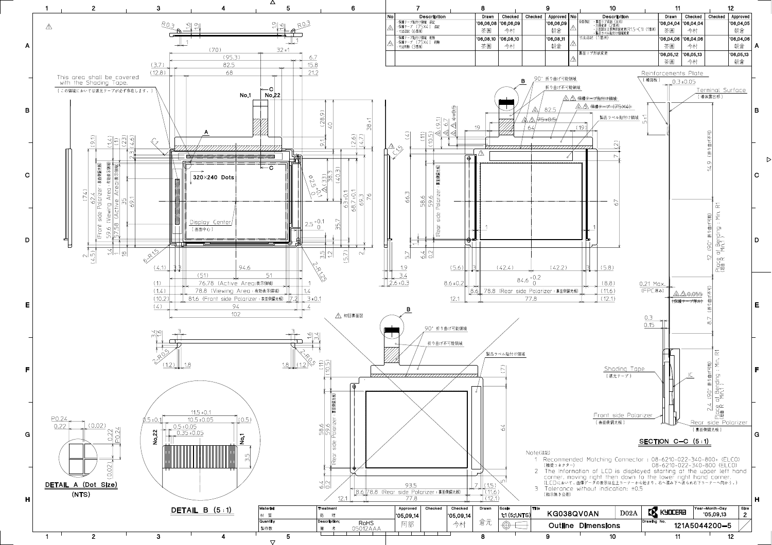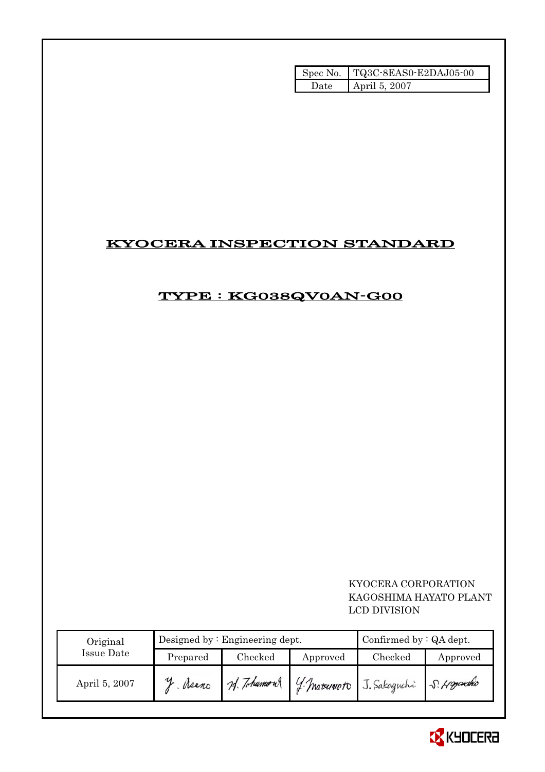|      | Spec No.   TQ3C-8EAS0-E2DAJ05-00 |
|------|----------------------------------|
| Jate | April 5, 2007                    |

# KYOCERA INSPECTION STANDARD

# TYPE : KG038QV0AN-G00

## KYOCERA CORPORATION KAGOSHIMA HAYATO PLANT LCD DIVISION

| Original      |          | Designed by $:$ Engineering dept. | Confirmed by $:QA$ dept. |                                    |            |
|---------------|----------|-----------------------------------|--------------------------|------------------------------------|------------|
| Issue Date    | Prepared | Checked                           | Approved                 | Checked                            | Approved   |
| April 5, 2007 | Meano    | 74. Tohumous                      |                          | <i>4 Matriculuoto</i> J. Sakaguchi | S. Hoyauko |

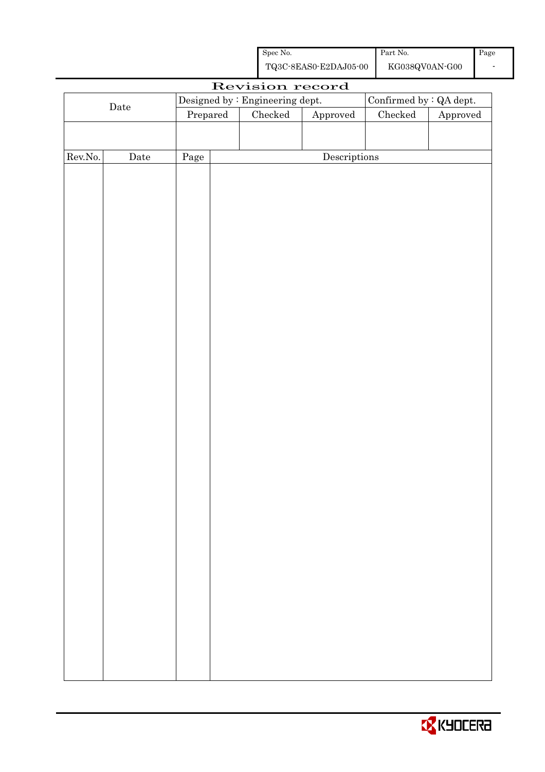| Spec No.              | Part No.       | Page |
|-----------------------|----------------|------|
| TQ3C-8EAS0-E2DAJ05-00 | KG038QV0AN-G00 |      |

|         |             |          |                                                            | Revision record |                        |                           |  |
|---------|-------------|----------|------------------------------------------------------------|-----------------|------------------------|---------------------------|--|
|         |             |          | Confirmed by : QA dept.<br>Designed by : Engineering dept. |                 |                        |                           |  |
|         | $\rm{Date}$ | Prepared |                                                            | Checked         | ${\Large\bf Approved}$ | $\rm Checked$<br>Approved |  |
|         |             |          |                                                            |                 |                        |                           |  |
|         |             |          |                                                            |                 |                        |                           |  |
| Rev.No. | $\rm{Date}$ | Page     |                                                            |                 | Descriptions           |                           |  |
|         |             |          |                                                            |                 |                        |                           |  |
|         |             |          |                                                            |                 |                        |                           |  |
|         |             |          |                                                            |                 |                        |                           |  |
|         |             |          |                                                            |                 |                        |                           |  |
|         |             |          |                                                            |                 |                        |                           |  |
|         |             |          |                                                            |                 |                        |                           |  |
|         |             |          |                                                            |                 |                        |                           |  |
|         |             |          |                                                            |                 |                        |                           |  |
|         |             |          |                                                            |                 |                        |                           |  |
|         |             |          |                                                            |                 |                        |                           |  |
|         |             |          |                                                            |                 |                        |                           |  |
|         |             |          |                                                            |                 |                        |                           |  |
|         |             |          |                                                            |                 |                        |                           |  |
|         |             |          |                                                            |                 |                        |                           |  |
|         |             |          |                                                            |                 |                        |                           |  |
|         |             |          |                                                            |                 |                        |                           |  |
|         |             |          |                                                            |                 |                        |                           |  |
|         |             |          |                                                            |                 |                        |                           |  |
|         |             |          |                                                            |                 |                        |                           |  |
|         |             |          |                                                            |                 |                        |                           |  |
|         |             |          |                                                            |                 |                        |                           |  |
|         |             |          |                                                            |                 |                        |                           |  |
|         |             |          |                                                            |                 |                        |                           |  |
|         |             |          |                                                            |                 |                        |                           |  |
|         |             |          |                                                            |                 |                        |                           |  |
|         |             |          |                                                            |                 |                        |                           |  |
|         |             |          |                                                            |                 |                        |                           |  |
|         |             |          |                                                            |                 |                        |                           |  |
|         |             |          |                                                            |                 |                        |                           |  |
|         |             |          |                                                            |                 |                        |                           |  |
|         |             |          |                                                            |                 |                        |                           |  |
|         |             |          |                                                            |                 |                        |                           |  |
|         |             |          |                                                            |                 |                        |                           |  |
|         |             |          |                                                            |                 |                        |                           |  |
|         |             |          |                                                            |                 |                        |                           |  |
|         |             |          |                                                            |                 |                        |                           |  |

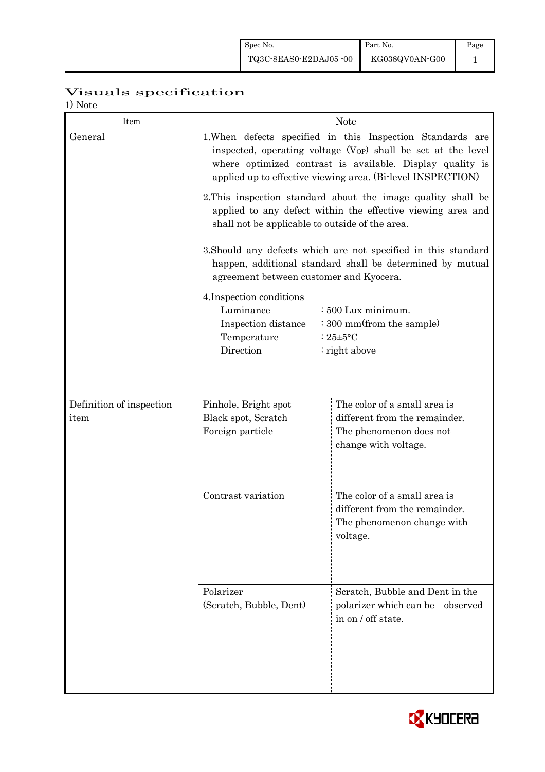# Visuals specification

1) Note

| Item                     | <b>Note</b>                                                                                                                                                                                                                                                                                                                                               |                                                                                                         |  |  |  |
|--------------------------|-----------------------------------------------------------------------------------------------------------------------------------------------------------------------------------------------------------------------------------------------------------------------------------------------------------------------------------------------------------|---------------------------------------------------------------------------------------------------------|--|--|--|
| General                  | 1. When defects specified in this Inspection Standards are<br>inspected, operating voltage (V <sub>OP</sub> ) shall be set at the level<br>where optimized contrast is available. Display quality is<br>applied up to effective viewing area. (Bi-level INSPECTION)                                                                                       |                                                                                                         |  |  |  |
|                          | 2. This inspection standard about the image quality shall be<br>applied to any defect within the effective viewing area and<br>shall not be applicable to outside of the area.                                                                                                                                                                            |                                                                                                         |  |  |  |
|                          | 3. Should any defects which are not specified in this standard<br>happen, additional standard shall be determined by mutual<br>agreement between customer and Kyocera.<br>4. Inspection conditions<br>Luminance<br>: 500 Lux minimum.<br>: 300 mm(from the sample)<br>Inspection distance<br>Temperature<br>: $25 \pm 5$ °C<br>Direction<br>: right above |                                                                                                         |  |  |  |
|                          |                                                                                                                                                                                                                                                                                                                                                           |                                                                                                         |  |  |  |
| Definition of inspection | Pinhole, Bright spot                                                                                                                                                                                                                                                                                                                                      | The color of a small area is                                                                            |  |  |  |
| item                     | Black spot, Scratch<br>Foreign particle                                                                                                                                                                                                                                                                                                                   | different from the remainder.<br>The phenomenon does not<br>change with voltage.                        |  |  |  |
|                          | Contrast variation                                                                                                                                                                                                                                                                                                                                        | The color of a small area is<br>different from the remainder.<br>The phenomenon change with<br>voltage. |  |  |  |
|                          | Polarizer<br>(Scratch, Bubble, Dent)                                                                                                                                                                                                                                                                                                                      | Scratch, Bubble and Dent in the<br>polarizer which can be<br>observed<br>in on / off state.             |  |  |  |

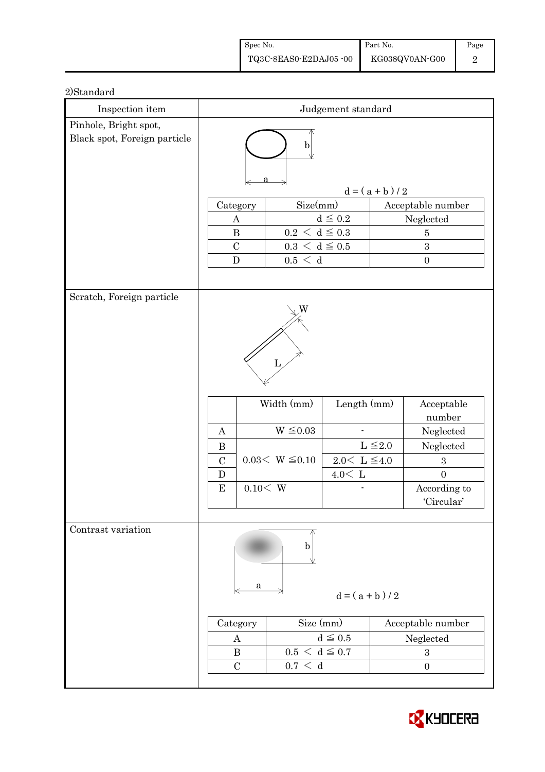| Spec No.              | Part No.       | Page |
|-----------------------|----------------|------|
| TQ3C-8EAS0-E2DAJ05-00 | KG038QV0AN-G00 |      |

### 2)Standard

| Inspection item                                       | Judgement standard                                 |                                       |                     |                  |                                   |
|-------------------------------------------------------|----------------------------------------------------|---------------------------------------|---------------------|------------------|-----------------------------------|
| Pinhole, Bright spot,<br>Black spot, Foreign particle | b                                                  |                                       |                     |                  |                                   |
|                                                       |                                                    |                                       |                     | $d = (a + b)/2$  |                                   |
|                                                       | Category                                           | Size(mm)                              |                     |                  | Acceptable number                 |
|                                                       | $\boldsymbol{A}$                                   |                                       | $d\leqq0.2$         |                  | Neglected                         |
|                                                       | $0.2\,<\,\mathrm{d}\leq0.3$<br>$\bf{B}$            |                                       | $\overline{5}$      |                  |                                   |
|                                                       | $\mathcal{C}$<br>${\bf D}$                         | $0.3 \leq d \leq 0.5$<br>$0.5\,<\,$ d |                     | 3                |                                   |
|                                                       |                                                    |                                       |                     | $\boldsymbol{0}$ |                                   |
| Scratch, Foreign particle                             | $\boldsymbol{A}$                                   | W<br>Width (mm)<br>$W \leq 0.03$      | Length $(mm)$       |                  | Acceptable<br>number<br>Neglected |
|                                                       | $\, {\bf B}$                                       |                                       | $L \leq 2.0$        |                  | Neglected                         |
|                                                       | $\mathcal{C}$                                      | $0.03 < W \le 0.10$                   | $2.0 \le L \le 4.0$ |                  | $\sqrt{3}$                        |
|                                                       | D                                                  |                                       | $4.0<\,$ L          |                  | $\overline{0}$                    |
|                                                       | E                                                  | 0.10 < W                              |                     |                  | According to<br>'Circular'        |
|                                                       |                                                    |                                       |                     |                  |                                   |
| Contrast variation                                    | a                                                  | b                                     | $d = (a + b)/2$     |                  |                                   |
|                                                       | Size (mm)<br>Acceptable number<br>Category         |                                       |                     |                  |                                   |
|                                                       | $d \leq 0.5$<br>Neglected<br>A                     |                                       |                     |                  |                                   |
|                                                       | $0.5 < d \leq 0.7$<br>$\bf{B}$<br>$\boldsymbol{3}$ |                                       |                     |                  |                                   |
|                                                       | $\mathcal{C}$                                      | $0.7\,<\,$ d                          |                     |                  | $\boldsymbol{0}$                  |
|                                                       |                                                    |                                       |                     |                  |                                   |